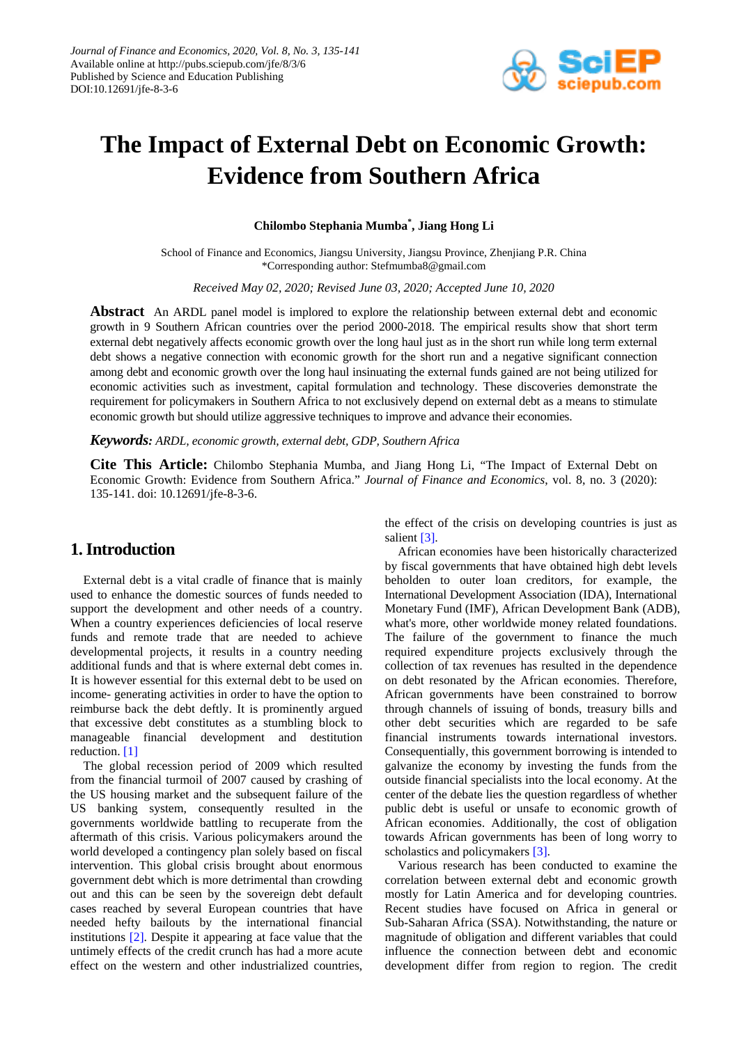

# **The Impact of External Debt on Economic Growth: Evidence from Southern Africa**

**Chilombo Stephania Mumba\* , Jiang Hong Li**

School of Finance and Economics, Jiangsu University, Jiangsu Province, Zhenjiang P.R. China \*Corresponding author: [Stefmumba8@gmail.com](mailto:Stefmumba8@gmail.com)

*Received May 02, 2020; Revised June 03, 2020; Accepted June 10, 2020*

**Abstract** An ARDL panel model is implored to explore the relationship between external debt and economic growth in 9 Southern African countries over the period 2000-2018. The empirical results show that short term external debt negatively affects economic growth over the long haul just as in the short run while long term external debt shows a negative connection with economic growth for the short run and a negative significant connection among debt and economic growth over the long haul insinuating the external funds gained are not being utilized for economic activities such as investment, capital formulation and technology. These discoveries demonstrate the requirement for policymakers in Southern Africa to not exclusively depend on external debt as a means to stimulate economic growth but should utilize aggressive techniques to improve and advance their economies.

## *Keywords: ARDL, economic growth, external debt, GDP, Southern Africa*

**Cite This Article:** Chilombo Stephania Mumba, and Jiang Hong Li, "The Impact of External Debt on Economic Growth: Evidence from Southern Africa." *Journal of Finance and Economics*, vol. 8, no. 3 (2020): 135-141. doi: 10.12691/jfe-8-3-6.

# **1. Introduction**

External debt is a vital cradle of finance that is mainly used to enhance the domestic sources of funds needed to support the development and other needs of a country. When a country experiences deficiencies of local reserve funds and remote trade that are needed to achieve developmental projects, it results in a country needing additional funds and that is where external debt comes in. It is however essential for this external debt to be used on income- generating activities in order to have the option to reimburse back the debt deftly. It is prominently argued that excessive debt constitutes as a stumbling block to manageable financial development and destitution reduction. [\[1\]](#page-6-0)

The global recession period of 2009 which resulted from the financial turmoil of 2007 caused by crashing of the US housing market and the subsequent failure of the US banking system, consequently resulted in the governments worldwide battling to recuperate from the aftermath of this crisis. Various policymakers around the world developed a contingency plan solely based on fiscal intervention. This global crisis brought about enormous government debt which is more detrimental than crowding out and this can be seen by the sovereign debt default cases reached by several European countries that have needed hefty bailouts by the international financial institutions [\[2\].](#page-6-1) Despite it appearing at face value that the untimely effects of the credit crunch has had a more acute effect on the western and other industrialized countries, the effect of the crisis on developing countries is just as salient [\[3\].](#page-6-2)

African economies have been historically characterized by fiscal governments that have obtained high debt levels beholden to outer loan creditors, for example, the International Development Association (IDA), International Monetary Fund (IMF), African Development Bank (ADB), what's more, other worldwide money related foundations. The failure of the government to finance the much required expenditure projects exclusively through the collection of tax revenues has resulted in the dependence on debt resonated by the African economies. Therefore, African governments have been constrained to borrow through channels of issuing of bonds, treasury bills and other debt securities which are regarded to be safe financial instruments towards international investors. Consequentially, this government borrowing is intended to galvanize the economy by investing the funds from the outside financial specialists into the local economy. At the center of the debate lies the question regardless of whether public debt is useful or unsafe to economic growth of African economies. Additionally, the cost of obligation towards African governments has been of long worry to scholastics and policymakers [\[3\].](#page-6-2)

Various research has been conducted to examine the correlation between external debt and economic growth mostly for Latin America and for developing countries. Recent studies have focused on Africa in general or Sub-Saharan Africa (SSA). Notwithstanding, the nature or magnitude of obligation and different variables that could influence the connection between debt and economic development differ from region to region. The credit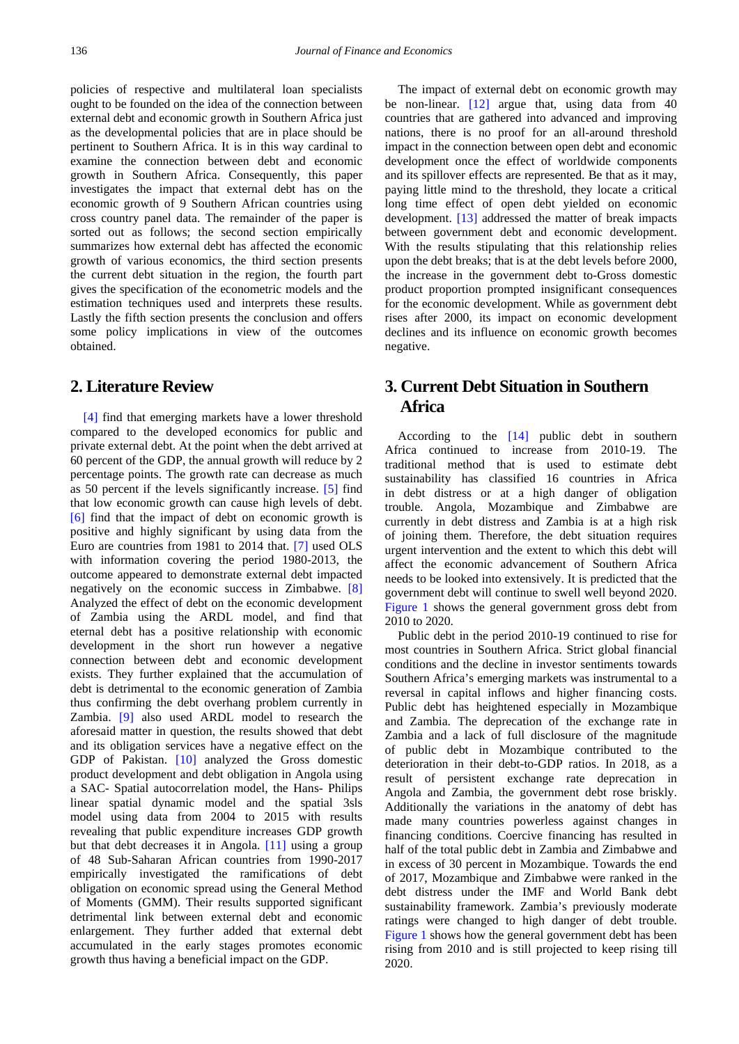policies of respective and multilateral loan specialists ought to be founded on the idea of the connection between external debt and economic growth in Southern Africa just as the developmental policies that are in place should be pertinent to Southern Africa. It is in this way cardinal to examine the connection between debt and economic growth in Southern Africa. Consequently, this paper investigates the impact that external debt has on the economic growth of 9 Southern African countries using cross country panel data. The remainder of the paper is sorted out as follows; the second section empirically summarizes how external debt has affected the economic growth of various economics, the third section presents the current debt situation in the region, the fourth part gives the specification of the econometric models and the estimation techniques used and interprets these results. Lastly the fifth section presents the conclusion and offers some policy implications in view of the outcomes obtained.

# **2. Literature Review**

[\[4\]](#page-6-3) find that emerging markets have a lower threshold compared to the developed economics for public and private external debt. At the point when the debt arrived at 60 percent of the GDP, the annual growth will reduce by 2 percentage points. The growth rate can decrease as much as 50 percent if the levels significantly increase. [\[5\]](#page-6-4) find that low economic growth can cause high levels of debt. [\[6\]](#page-6-5) find that the impact of debt on economic growth is positive and highly significant by using data from the Euro are countries from 1981 to 2014 that. [\[7\]](#page-6-6) used OLS with information covering the period 1980-2013, the outcome appeared to demonstrate external debt impacted negatively on the economic success in Zimbabwe. [\[8\]](#page-6-7) Analyzed the effect of debt on the economic development of Zambia using the ARDL model, and find that eternal debt has a positive relationship with economic development in the short run however a negative connection between debt and economic development exists. They further explained that the accumulation of debt is detrimental to the economic generation of Zambia thus confirming the debt overhang problem currently in Zambia. [\[9\]](#page-6-8) also used ARDL model to research the aforesaid matter in question, the results showed that debt and its obligation services have a negative effect on the GDP of Pakistan. [\[10\]](#page-6-9) analyzed the Gross domestic product development and debt obligation in Angola using a SAC- Spatial autocorrelation model, the Hans- Philips linear spatial dynamic model and the spatial 3sls model using data from 2004 to 2015 with results revealing that public expenditure increases GDP growth but that debt decreases it in Angola. [\[11\]](#page-6-10) using a group of 48 Sub-Saharan African countries from 1990-2017 empirically investigated the ramifications of debt obligation on economic spread using the General Method of Moments (GMM). Their results supported significant detrimental link between external debt and economic enlargement. They further added that external debt accumulated in the early stages promotes economic growth thus having a beneficial impact on the GDP.

The impact of external debt on economic growth may be non-linear. [\[12\]](#page-6-11) argue that, using data from 40 countries that are gathered into advanced and improving nations, there is no proof for an all-around threshold impact in the connection between open debt and economic development once the effect of worldwide components and its spillover effects are represented. Be that as it may, paying little mind to the threshold, they locate a critical long time effect of open debt yielded on economic development. [\[13\]](#page-6-12) addressed the matter of break impacts between government debt and economic development. With the results stipulating that this relationship relies upon the debt breaks; that is at the debt levels before 2000, the increase in the government debt to-Gross domestic product proportion prompted insignificant consequences for the economic development. While as government debt rises after 2000, its impact on economic development declines and its influence on economic growth becomes negative.

# **3. Current Debt Situation in Southern Africa**

According to the [\[14\]](#page-6-13) public debt in southern Africa continued to increase from 2010-19. The traditional method that is used to estimate debt sustainability has classified 16 countries in Africa in debt distress or at a high danger of obligation trouble. Angola, Mozambique and Zimbabwe are currently in debt distress and Zambia is at a high risk of joining them. Therefore, the debt situation requires urgent intervention and the extent to which this debt will affect the economic advancement of Southern Africa needs to be looked into extensively. It is predicted that the government debt will continue to swell well beyond 2020. [Figure 1](#page-2-0) shows the general government gross debt from 2010 to 2020.

Public debt in the period 2010-19 continued to rise for most countries in Southern Africa. Strict global financial conditions and the decline in investor sentiments towards Southern Africa's emerging markets was instrumental to a reversal in capital inflows and higher financing costs. Public debt has heightened especially in Mozambique and Zambia. The deprecation of the exchange rate in Zambia and a lack of full disclosure of the magnitude of public debt in Mozambique contributed to the deterioration in their debt-to-GDP ratios. In 2018, as a result of persistent exchange rate deprecation in Angola and Zambia, the government debt rose briskly. Additionally the variations in the anatomy of debt has made many countries powerless against changes in financing conditions. Coercive financing has resulted in half of the total public debt in Zambia and Zimbabwe and in excess of 30 percent in Mozambique. Towards the end of 2017, Mozambique and Zimbabwe were ranked in the debt distress under the IMF and World Bank debt sustainability framework. Zambia's previously moderate ratings were changed to high danger of debt trouble. [Figure 1](#page-2-0) shows how the general government debt has been rising from 2010 and is still projected to keep rising till 2020.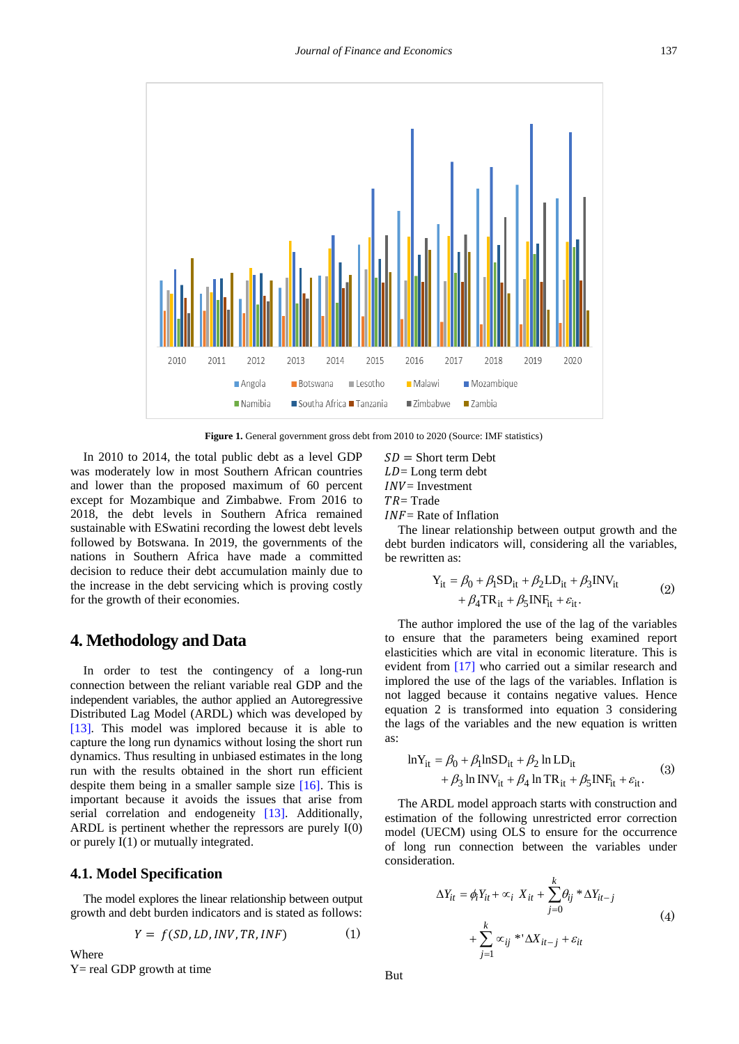<span id="page-2-0"></span>

**Figure 1.** General government gross debt from 2010 to 2020 (Source: IMF statistics)

In 2010 to 2014, the total public debt as a level GDP was moderately low in most Southern African countries and lower than the proposed maximum of 60 percent except for Mozambique and Zimbabwe. From 2016 to 2018, the debt levels in Southern Africa remained sustainable with ESwatini recording the lowest debt levels followed by Botswana. In 2019, the governments of the nations in Southern Africa have made a committed decision to reduce their debt accumulation mainly due to the increase in the debt servicing which is proving costly for the growth of their economies.

## **4. Methodology and Data**

In order to test the contingency of a long-run connection between the reliant variable real GDP and the independent variables, the author applied an Autoregressive Distributed Lag Model (ARDL) which was developed by [\[13\].](#page-6-12) This model was implored because it is able to capture the long run dynamics without losing the short run dynamics. Thus resulting in unbiased estimates in the long run with the results obtained in the short run efficient despite them being in a smaller sample size [\[16\].](#page-6-14) This is important because it avoids the issues that arise from serial correlation and endogeneity [\[13\].](#page-6-12) Additionally, ARDL is pertinent whether the repressors are purely I(0) or purely I(1) or mutually integrated.

## **4.1. Model Specification**

The model explores the linear relationship between output growth and debt burden indicators and is stated as follows:

$$
Y = f(SD, LD, INV, TR, INF) \tag{1}
$$

Where  $Y = real GDP$  growth at time  $SD =$  Short term Debt  $LD =$ Long term debt  $INV = Investment$  $TR = Trade$  $INF =$ Rate of Inflation

The linear relationship between output growth and the debt burden indicators will, considering all the variables, be rewritten as:

$$
Y_{it} = \beta_0 + \beta_1 SD_{it} + \beta_2 LD_{it} + \beta_3 NV_{it}
$$
  
+  $\beta_4 TR_{it} + \beta_5 INF_{it} + \varepsilon_{it}$ . (2)

The author implored the use of the lag of the variables to ensure that the parameters being examined report elasticities which are vital in economic literature. This is evident from [\[17\]](#page-6-15) who carried out a similar research and implored the use of the lags of the variables. Inflation is not lagged because it contains negative values. Hence equation 2 is transformed into equation 3 considering the lags of the variables and the new equation is written as:

$$
\ln Y_{it} = \beta_0 + \beta_1 \ln SD_{it} + \beta_2 \ln LD_{it}
$$
  
+  $\beta_3 \ln \text{INV}_{it} + \beta_4 \ln \text{TR}_{it} + \beta_5 \text{INF}_{it} + \varepsilon_{it}.$  (3)

The ARDL model approach starts with construction and estimation of the following unrestricted error correction model (UECM) using OLS to ensure for the occurrence of long run connection between the variables under consideration.

$$
\Delta Y_{it} = \phi_i Y_{it} + \infty_i X_{it} + \sum_{j=0}^k \theta_{ij} * \Delta Y_{it-j}
$$
  
+ 
$$
\sum_{j=1}^k \infty_{ij} * \Delta X_{it-j} + \varepsilon_{it}
$$
 (4)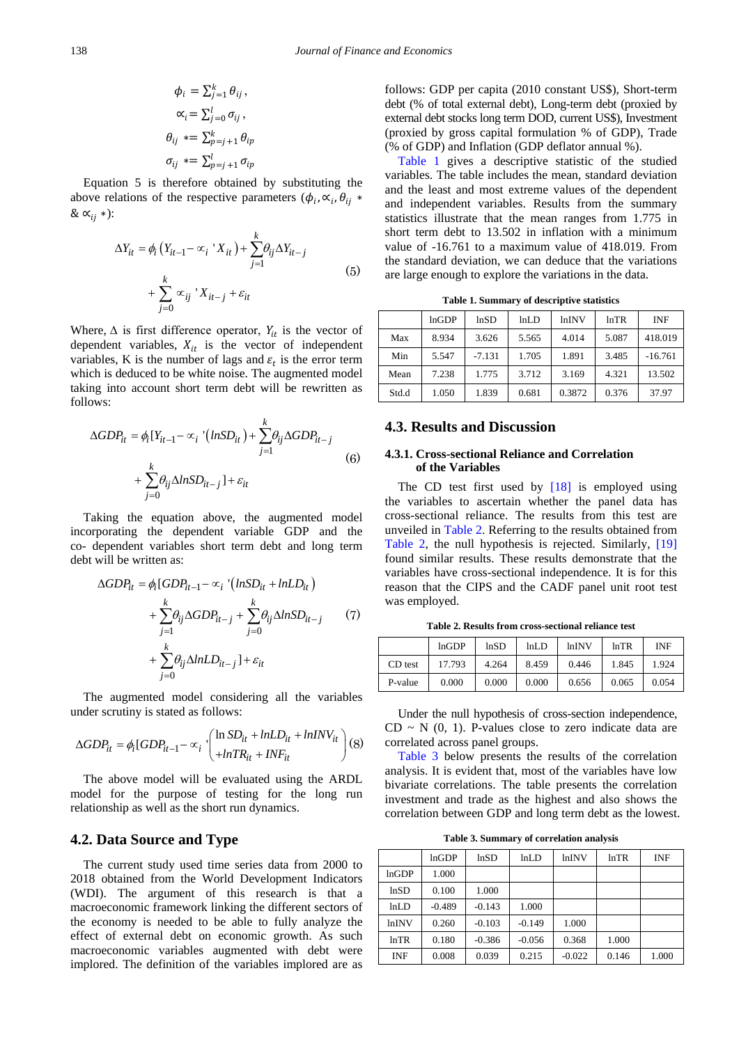$$
\phi_i = \sum_{j=1}^k \theta_{ij},
$$
  
\n
$$
\alpha_i = \sum_{j=0}^l \sigma_{ij},
$$
  
\n
$$
\theta_{ij} = \sum_{p=j+1}^k \theta_{ip}
$$
  
\n
$$
\sigma_{ij} = \sum_{p=j+1}^l \sigma_{ip}
$$

Equation 5 is therefore obtained by substituting the above relations of the respective parameters ( $\phi_i$ ,  $\alpha_i$ ,  $\theta_{ii}$  \* &  $\alpha_{ii}$  \*):

$$
\Delta Y_{it} = \phi_i \left( Y_{it-1} - \alpha_i \right) X_{it} + \sum_{j=1}^k \theta_{ij} \Delta Y_{it-j}
$$
  
+ 
$$
\sum_{j=0}^k \alpha_{ij} \left( X_{it-j} + \varepsilon_{it} \right)
$$
 (5)

Where,  $\Delta$  is first difference operator,  $Y_{it}$  is the vector of dependent variables,  $X_{it}$  is the vector of independent variables, K is the number of lags and  $\varepsilon_t$  is the error term which is deduced to be white noise. The augmented model taking into account short term debt will be rewritten as follows:

$$
\Delta GDP_{it} = \phi_i[Y_{it-1} - \alpha_i \cdot (lnSD_{it}) + \sum_{j=1}^k \theta_{ij} \Delta GDP_{it-j}
$$
  
+ 
$$
\sum_{j=0}^k \theta_{ij} \Delta lnSD_{it-j}] + \varepsilon_{it}
$$
 (6)

Taking the equation above, the augmented model incorporating the dependent variable GDP and the co- dependent variables short term debt and long term debt will be written as:

$$
\Delta GDP_{it} = \phi_i [GDP_{it-1} - \alpha_i \cdot (lnSD_{it} + lnLD_{it})
$$
  
+ 
$$
\sum_{j=1}^k \theta_{ij} \Delta GDP_{it-j} + \sum_{j=0}^k \theta_{ij} \Delta lnSD_{it-j}
$$
 (7)  
+ 
$$
\sum_{j=0}^k \theta_{ij} \Delta lnLD_{it-j}] + \varepsilon_{it}
$$

The augmented model considering all the variables under scrutiny is stated as follows:

$$
\Delta GDP_{it} = \phi_i [GDP_{it-1} - \alpha_i \cdot \begin{pmatrix} \ln SD_{it} + lnLD_{it} + lnINV_{it} \\ + lnTR_{it} + INF_{it} \end{pmatrix} (8)
$$

The above model will be evaluated using the ARDL model for the purpose of testing for the long run relationship as well as the short run dynamics.

### **4.2. Data Source and Type**

The current study used time series data from 2000 to 2018 obtained from the World Development Indicators (WDI). The argument of this research is that a macroeconomic framework linking the different sectors of the economy is needed to be able to fully analyze the effect of external debt on economic growth. As such macroeconomic variables augmented with debt were implored. The definition of the variables implored are as follows: GDP per capita (2010 constant US\$), Short-term debt (% of total external debt), Long-term debt (proxied by external debt stocks long term DOD, current US\$), Investment (proxied by gross capital formulation % of GDP), Trade (% of GDP) and Inflation (GDP deflator annual %).

[Table 1](#page-3-0) gives a descriptive statistic of the studied variables. The table includes the mean, standard deviation and the least and most extreme values of the dependent and independent variables. Results from the summary statistics illustrate that the mean ranges from 1.775 in short term debt to 13.502 in inflation with a minimum value of -16.761 to a maximum value of 418.019. From the standard deviation, we can deduce that the variations are large enough to explore the variations in the data.

**Table 1. Summary of descriptive statistics**

<span id="page-3-0"></span>

|       | lnGDP | lnSD     | lnLD  | <i>lnINV</i> | ln TR | INF       |
|-------|-------|----------|-------|--------------|-------|-----------|
|       |       |          |       |              |       |           |
| Max   | 8.934 | 3.626    | 5.565 | 4.014        | 5.087 | 418.019   |
| Min   | 5.547 | $-7.131$ | 1.705 | 1.891        | 3.485 | $-16.761$ |
| Mean  | 7.238 | 1.775    | 3.712 | 3.169        | 4.321 | 13.502    |
| Std.d | 1.050 | 1.839    | 0.681 | 0.3872       | 0.376 | 37.97     |

## **4.3. Results and Discussion**

### **4.3.1. Cross-sectional Reliance and Correlation of the Variables**

The CD test first used by  $[18]$  is employed using the variables to ascertain whether the panel data has cross-sectional reliance. The results from this test are unveiled in [Table 2.](#page-3-1) Referring to the results obtained from [Table 2,](#page-3-1) the null hypothesis is rejected. Similarly, [\[19\]](#page-6-17) found similar results. These results demonstrate that the variables have cross-sectional independence. It is for this reason that the CIPS and the CADF panel unit root test was employed.

**Table 2. Results from cross-sectional reliance test**

<span id="page-3-1"></span>

|         | lnGDP  | lnSD  | lnLD  | <b>lnINV</b> | lnTR  | INF   |
|---------|--------|-------|-------|--------------|-------|-------|
| CD test | 17.793 | 4.264 | 8.459 | 0.446        | 1.845 | 1.924 |
| P-value | 0.000  | 0.000 | 0.000 | 0.656        | 0.065 | 0.054 |

Under the null hypothesis of cross-section independence,  $CD \sim N$  (0, 1). P-values close to zero indicate data are correlated across panel groups.

[Table 3](#page-3-2) below presents the results of the correlation analysis. It is evident that, most of the variables have low bivariate correlations. The table presents the correlation investment and trade as the highest and also shows the correlation between GDP and long term debt as the lowest.

**Table 3. Summary of correlation analysis**

<span id="page-3-2"></span>

|       | lnGDP    | lnSD     | lnLD     | lnINV    | ln TR | <b>INF</b> |
|-------|----------|----------|----------|----------|-------|------------|
| lnGDP | 1.000    |          |          |          |       |            |
| lnSD  | 0.100    | 1.000    |          |          |       |            |
| lnLD  | $-0.489$ | $-0.143$ | 1.000    |          |       |            |
| lnINV | 0.260    | $-0.103$ | $-0.149$ | 1.000    |       |            |
| lnTR  | 0.180    | $-0.386$ | $-0.056$ | 0.368    | 1.000 |            |
| INF   | 0.008    | 0.039    | 0.215    | $-0.022$ | 0.146 | 1.000      |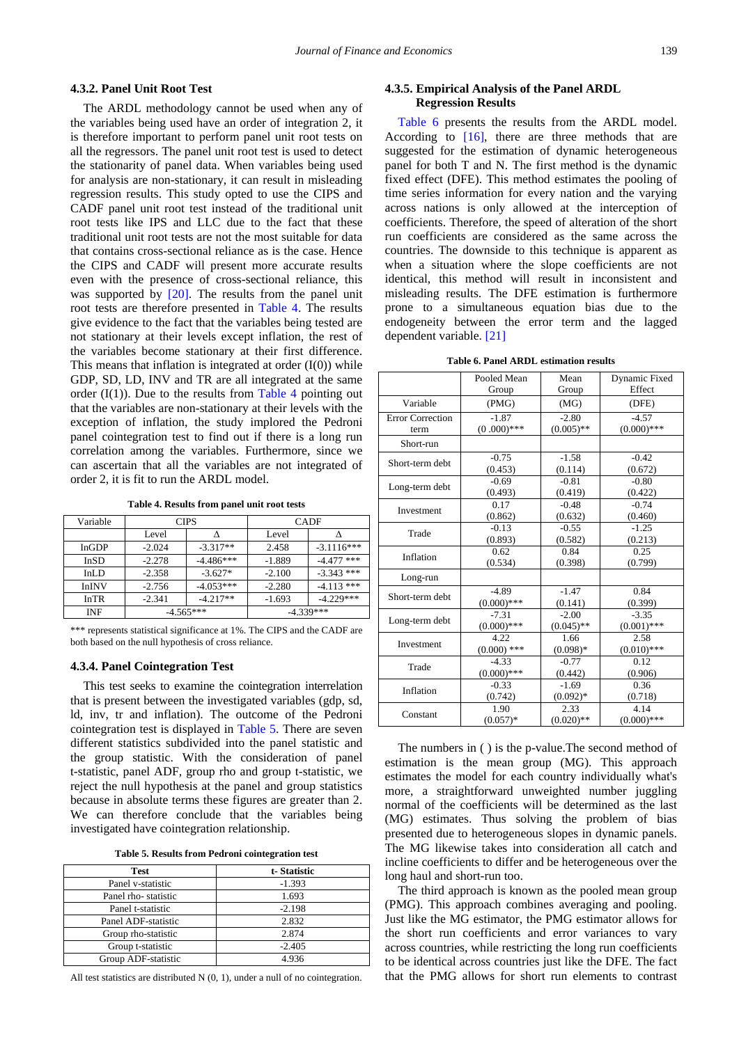#### **4.3.2. Panel Unit Root Test**

The ARDL methodology cannot be used when any of the variables being used have an order of integration 2, it is therefore important to perform panel unit root tests on all the regressors. The panel unit root test is used to detect the stationarity of panel data. When variables being used for analysis are non-stationary, it can result in misleading regression results. This study opted to use the CIPS and CADF panel unit root test instead of the traditional unit root tests like IPS and LLC due to the fact that these traditional unit root tests are not the most suitable for data that contains cross-sectional reliance as is the case. Hence the CIPS and CADF will present more accurate results even with the presence of cross-sectional reliance, this was supported by [\[20\].](#page-6-18) The results from the panel unit root tests are therefore presented in [Table 4.](#page-4-0) The results give evidence to the fact that the variables being tested are not stationary at their levels except inflation, the rest of the variables become stationary at their first difference. This means that inflation is integrated at order (I(0)) while GDP, SD, LD, INV and TR are all integrated at the same order  $(I(1))$ . Due to the results from [Table 4](#page-4-0) pointing out that the variables are non-stationary at their levels with the exception of inflation, the study implored the Pedroni panel cointegration test to find out if there is a long run correlation among the variables. Furthermore, since we can ascertain that all the variables are not integrated of order 2, it is fit to run the ARDL model.

**Table 4. Results from panel unit root tests**

<span id="page-4-0"></span>

| Variable     | <b>CIPS</b> |             | <b>CADF</b> |              |  |
|--------------|-------------|-------------|-------------|--------------|--|
|              | Level       |             | Level       |              |  |
| InGDP        | $-2.024$    | $-3.317**$  | 2.458       | $-3.1116***$ |  |
| InSD         | $-2.278$    | $-4.486***$ | $-1.889$    | $-4.477$ *** |  |
| InLD         | $-2.358$    | $-3.627*$   | $-2.100$    | $-3.343$ *** |  |
| <b>InINV</b> | $-2.756$    | $-4.053***$ | $-2.280$    | $-4.113$ *** |  |
| InTR         | $-2.341$    | $-4.217**$  | $-1.693$    | $-4.229***$  |  |
| INF          | $-4.565***$ |             | $-4.339***$ |              |  |

\*\*\* represents statistical significance at 1%. The CIPS and the CADF are both based on the null hypothesis of cross reliance.

#### **4.3.4. Panel Cointegration Test**

This test seeks to examine the cointegration interrelation that is present between the investigated variables (gdp, sd, ld, inv, tr and inflation). The outcome of the Pedroni cointegration test is displayed in [Table 5.](#page-4-1) There are seven different statistics subdivided into the panel statistic and the group statistic. With the consideration of panel t-statistic, panel ADF, group rho and group t-statistic, we reject the null hypothesis at the panel and group statistics because in absolute terms these figures are greater than 2. We can therefore conclude that the variables being investigated have cointegration relationship.

|  |  |  |  |  | Table 5. Results from Pedroni cointegration test |  |
|--|--|--|--|--|--------------------------------------------------|--|
|--|--|--|--|--|--------------------------------------------------|--|

<span id="page-4-1"></span>

| <b>Test</b>         | t-Statistic |
|---------------------|-------------|
| Panel v-statistic   | $-1.393$    |
| Panel rho-statistic | 1.693       |
| Panel t-statistic   | $-2.198$    |
| Panel ADF-statistic | 2.832       |
| Group rho-statistic | 2.874       |
| Group t-statistic   | $-2.405$    |
| Group ADF-statistic | 4.936       |

All test statistics are distributed N (0, 1), under a null of no cointegration.

#### **4.3.5. Empirical Analysis of the Panel ARDL Regression Results**

[Table 6](#page-4-2) presents the results from the ARDL model. According to [\[16\],](#page-6-14) there are three methods that are suggested for the estimation of dynamic heterogeneous panel for both T and N. The first method is the dynamic fixed effect (DFE). This method estimates the pooling of time series information for every nation and the varying across nations is only allowed at the interception of coefficients. Therefore, the speed of alteration of the short run coefficients are considered as the same across the countries. The downside to this technique is apparent as when a situation where the slope coefficients are not identical, this method will result in inconsistent and misleading results. The DFE estimation is furthermore prone to a simultaneous equation bias due to the endogeneity between the error term and the lagged dependent variable. [\[21\]](#page-6-19)

**Table 6. Panel ARDL estimation results**

<span id="page-4-2"></span>

|                         | Pooled Mean   | Mean         | Dynamic Fixed |
|-------------------------|---------------|--------------|---------------|
|                         | Group         | Group        | Effect        |
| Variable                | (PMG)         | (MG)         | (DFE)         |
| <b>Error Correction</b> | $-1.87$       | $-2.80$      | $-4.57$       |
| term                    | $(0.000)$ *** | $(0.005)$ ** | $(0.000)$ *** |
| Short-run               |               |              |               |
|                         | $-0.75$       | $-1.58$      | $-0.42$       |
| Short-term debt         | (0.453)       | (0.114)      | (0.672)       |
| Long-term debt          | $-0.69$       | $-0.81$      | $-0.80$       |
|                         | (0.493)       | (0.419)      | (0.422)       |
| Investment              | 0.17          | $-0.48$      | $-0.74$       |
|                         | (0.862)       | (0.632)      | (0.460)       |
| Trade                   | $-0.13$       | $-0.55$      | $-1.25$       |
|                         | (0.893)       | (0.582)      | (0.213)       |
| Inflation               | 0.62          | 0.84         | 0.25          |
|                         | (0.534)       | (0.398)      | (0.799)       |
| Long-run                |               |              |               |
| Short-term debt         | $-4.89$       | $-1.47$      | 0.84          |
|                         | $(0.000)$ *** | (0.141)      | (0.399)       |
| Long-term debt          | $-7.31$       | $-2.00$      | $-3.35$       |
|                         | $(0.000)$ *** | $(0.045)$ ** | $(0.001)$ *** |
| Investment              | 4.22          | 1.66         | 2.58          |
|                         | $(0.000)$ *** | $(0.098)*$   | $(0.010)$ *** |
| Trade                   | $-4.33$       | $-0.77$      | 0.12          |
|                         | $(0.000)$ *** | (0.442)      | (0.906)       |
| Inflation               | $-0.33$       | $-1.69$      | 0.36          |
|                         | (0.742)       | $(0.092)*$   | (0.718)       |
| Constant                | 1.90          | 2.33         | 4.14          |
|                         | $(0.057)*$    | $(0.020)$ ** | $(0.000)$ *** |

The numbers in ( ) is the p-value.The second method of estimation is the mean group (MG). This approach estimates the model for each country individually what's more, a straightforward unweighted number juggling normal of the coefficients will be determined as the last (MG) estimates. Thus solving the problem of bias presented due to heterogeneous slopes in dynamic panels. The MG likewise takes into consideration all catch and incline coefficients to differ and be heterogeneous over the long haul and short-run too.

The third approach is known as the pooled mean group (PMG). This approach combines averaging and pooling. Just like the MG estimator, the PMG estimator allows for the short run coefficients and error variances to vary across countries, while restricting the long run coefficients to be identical across countries just like the DFE. The fact that the PMG allows for short run elements to contrast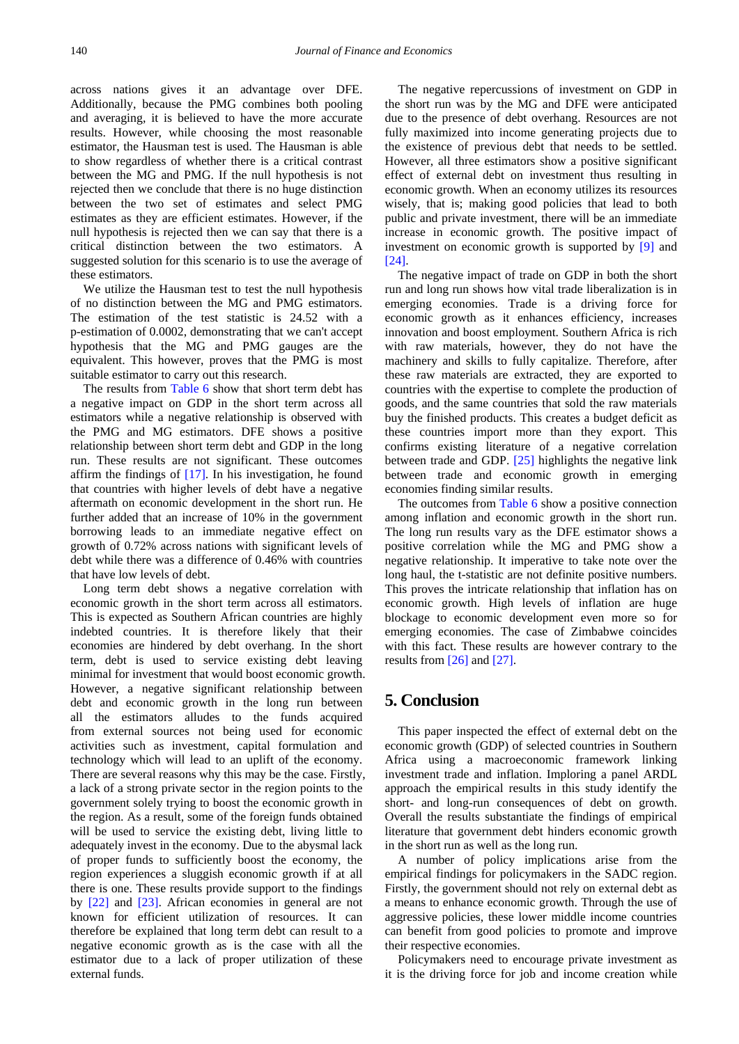across nations gives it an advantage over DFE. Additionally, because the PMG combines both pooling and averaging, it is believed to have the more accurate results. However, while choosing the most reasonable estimator, the Hausman test is used. The Hausman is able to show regardless of whether there is a critical contrast between the MG and PMG. If the null hypothesis is not rejected then we conclude that there is no huge distinction between the two set of estimates and select PMG estimates as they are efficient estimates. However, if the null hypothesis is rejected then we can say that there is a critical distinction between the two estimators. A suggested solution for this scenario is to use the average of these estimators.

We utilize the Hausman test to test the null hypothesis of no distinction between the MG and PMG estimators. The estimation of the test statistic is 24.52 with a p-estimation of 0.0002, demonstrating that we can't accept hypothesis that the MG and PMG gauges are the equivalent. This however, proves that the PMG is most suitable estimator to carry out this research.

The results from [Table 6](#page-4-2) show that short term debt has a negative impact on GDP in the short term across all estimators while a negative relationship is observed with the PMG and MG estimators. DFE shows a positive relationship between short term debt and GDP in the long run. These results are not significant. These outcomes affirm the findings of [\[17\].](#page-6-15) In his investigation, he found that countries with higher levels of debt have a negative aftermath on economic development in the short run. He further added that an increase of 10% in the government borrowing leads to an immediate negative effect on growth of 0.72% across nations with significant levels of debt while there was a difference of 0.46% with countries that have low levels of debt.

Long term debt shows a negative correlation with economic growth in the short term across all estimators. This is expected as Southern African countries are highly indebted countries. It is therefore likely that their economies are hindered by debt overhang. In the short term, debt is used to service existing debt leaving minimal for investment that would boost economic growth. However, a negative significant relationship between debt and economic growth in the long run between all the estimators alludes to the funds acquired from external sources not being used for economic activities such as investment, capital formulation and technology which will lead to an uplift of the economy. There are several reasons why this may be the case. Firstly, a lack of a strong private sector in the region points to the government solely trying to boost the economic growth in the region. As a result, some of the foreign funds obtained will be used to service the existing debt, living little to adequately invest in the economy. Due to the abysmal lack of proper funds to sufficiently boost the economy, the region experiences a sluggish economic growth if at all there is one. These results provide support to the findings by [\[22\]](#page-6-20) and [\[23\].](#page-6-21) African economies in general are not known for efficient utilization of resources. It can therefore be explained that long term debt can result to a negative economic growth as is the case with all the estimator due to a lack of proper utilization of these external funds.

The negative repercussions of investment on GDP in the short run was by the MG and DFE were anticipated due to the presence of debt overhang. Resources are not fully maximized into income generating projects due to the existence of previous debt that needs to be settled. However, all three estimators show a positive significant effect of external debt on investment thus resulting in economic growth. When an economy utilizes its resources wisely, that is; making good policies that lead to both public and private investment, there will be an immediate increase in economic growth. The positive impact of investment on economic growth is supported by [\[9\]](#page-6-8) and [\[24\].](#page-6-22)

The negative impact of trade on GDP in both the short run and long run shows how vital trade liberalization is in emerging economies. Trade is a driving force for economic growth as it enhances efficiency, increases innovation and boost employment. Southern Africa is rich with raw materials, however, they do not have the machinery and skills to fully capitalize. Therefore, after these raw materials are extracted, they are exported to countries with the expertise to complete the production of goods, and the same countries that sold the raw materials buy the finished products. This creates a budget deficit as these countries import more than they export. This confirms existing literature of a negative correlation between trade and GDP. [\[25\]](#page-6-23) highlights the negative link between trade and economic growth in emerging economies finding similar results.

The outcomes from [Table 6](#page-4-2) show a positive connection among inflation and economic growth in the short run. The long run results vary as the DFE estimator shows a positive correlation while the MG and PMG show a negative relationship. It imperative to take note over the long haul, the t-statistic are not definite positive numbers. This proves the intricate relationship that inflation has on economic growth. High levels of inflation are huge blockage to economic development even more so for emerging economies. The case of Zimbabwe coincides with this fact. These results are however contrary to the results fro[m \[26\]](#page-6-24) and [\[27\].](#page-6-25)

# **5. Conclusion**

This paper inspected the effect of external debt on the economic growth (GDP) of selected countries in Southern Africa using a macroeconomic framework linking investment trade and inflation. Imploring a panel ARDL approach the empirical results in this study identify the short- and long-run consequences of debt on growth. Overall the results substantiate the findings of empirical literature that government debt hinders economic growth in the short run as well as the long run.

A number of policy implications arise from the empirical findings for policymakers in the SADC region. Firstly, the government should not rely on external debt as a means to enhance economic growth. Through the use of aggressive policies, these lower middle income countries can benefit from good policies to promote and improve their respective economies.

Policymakers need to encourage private investment as it is the driving force for job and income creation while